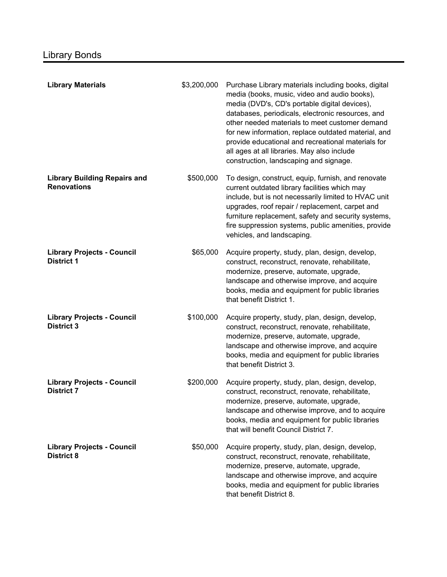| <b>Library Materials</b>                                  | \$3,200,000 | Purchase Library materials including books, digital<br>media (books, music, video and audio books),<br>media (DVD's, CD's portable digital devices),<br>databases, periodicals, electronic resources, and<br>other needed materials to meet customer demand<br>for new information, replace outdated material, and<br>provide educational and recreational materials for<br>all ages at all libraries. May also include<br>construction, landscaping and signage. |
|-----------------------------------------------------------|-------------|-------------------------------------------------------------------------------------------------------------------------------------------------------------------------------------------------------------------------------------------------------------------------------------------------------------------------------------------------------------------------------------------------------------------------------------------------------------------|
| <b>Library Building Repairs and</b><br><b>Renovations</b> | \$500,000   | To design, construct, equip, furnish, and renovate<br>current outdated library facilities which may<br>include, but is not necessarily limited to HVAC unit<br>upgrades, roof repair / replacement, carpet and<br>furniture replacement, safety and security systems,<br>fire suppression systems, public amenities, provide<br>vehicles, and landscaping.                                                                                                        |
| <b>Library Projects - Council</b><br><b>District 1</b>    | \$65,000    | Acquire property, study, plan, design, develop,<br>construct, reconstruct, renovate, rehabilitate,<br>modernize, preserve, automate, upgrade,<br>landscape and otherwise improve, and acquire<br>books, media and equipment for public libraries<br>that benefit District 1.                                                                                                                                                                                      |
| <b>Library Projects - Council</b><br><b>District 3</b>    | \$100,000   | Acquire property, study, plan, design, develop,<br>construct, reconstruct, renovate, rehabilitate,<br>modernize, preserve, automate, upgrade,<br>landscape and otherwise improve, and acquire<br>books, media and equipment for public libraries<br>that benefit District 3.                                                                                                                                                                                      |
| <b>Library Projects - Council</b><br><b>District 7</b>    | \$200,000   | Acquire property, study, plan, design, develop,<br>construct, reconstruct, renovate, rehabilitate,<br>modernize, preserve, automate, upgrade,<br>landscape and otherwise improve, and to acquire<br>books, media and equipment for public libraries<br>that will benefit Council District 7.                                                                                                                                                                      |
| <b>Library Projects - Council</b><br><b>District 8</b>    | \$50,000    | Acquire property, study, plan, design, develop,<br>construct, reconstruct, renovate, rehabilitate,<br>modernize, preserve, automate, upgrade,<br>landscape and otherwise improve, and acquire<br>books, media and equipment for public libraries<br>that benefit District 8.                                                                                                                                                                                      |